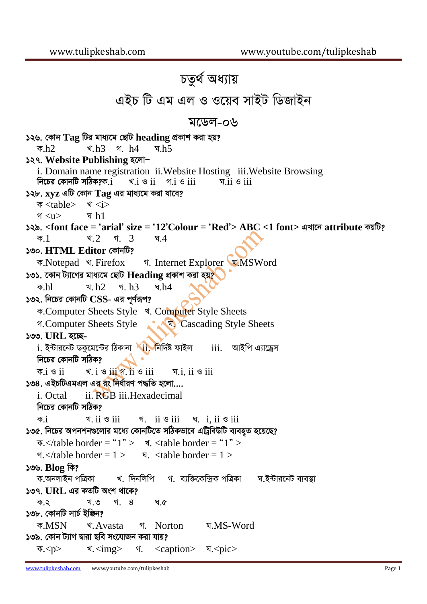## *চতুৰ্থ অধ্যায়* এইচ টি এম এল ও ওয়েব সাইট ডিজাইন *g‡Wj-06 126. †Kvb* **Tag** *wUi gva¨‡g †QvU* **heading** *cÖKvk Kiv nq? K.*h2 *L.*h3 *M.* h4 *N.*h5 **127. Website Publishing হলো**i. Domain name registration ii.Website Hosting iii.Website Browsing *wb‡Pi †KvbwU mwVK?K.*i *L.*i *I* ii *M.*i *I* iii *N.*ii *I* iii *128.* **xyz** *GwU †Kvb* **Tag** *Gi gva¨‡g Kiv hv‡e?*  ক <table> খ <i> *M* <u> *N* h1 *129.* **<font face =** *Ô***arial***Õ* **size =** *Ô***12***Õ***Colour =** *Ô***Red***Õ***> ABC <1 font>** *GLv‡b* **attribute** *KqwU? K.*1 *L.*2 *M.* 3 *N.*4  $1500.$  HTML Editor কোনটি? ক.Notepad *শ.* Firefox *n.* Internet Explorer *A.MSWord 131. ‡Kvb U¨v‡Mi gva¨‡g †QvU* **Heading** *cÖKvk Kiv nq? K.*hl *L.* h2 *M.* h3 *N.*h4 *132. wb‡Pi †KvbwU* **CSS-** *Gi c~Y©iƒc?* क.Computer Sheets Style <sup>श</sup>. Computer Style Sheets *M.*Computer Sheets Style *N.* Cascading Style Sheets  $1300.$  URL হচ্ছেi*. B›Uvi‡bU WKz‡g‡›Ui wVKvbv* ii*. wbw`©ó dvBj* iii*. AvBwc G¨v‡Wªm নিচের কোনটি সঠিক?*  $\overline{\phi}$ .i  $\circ$  ii  $\overline{\phi}$   $\frac{1}{2}$   $\circ$   $\frac{1}{2}$   $\frac{1}{2}$   $\circ$   $\frac{1}{2}$   $\frac{1}{2}$   $\circ$   $\frac{1}{2}$   $\frac{1}{2}$   $\circ$   $\frac{1}{2}$   $\frac{1}{2}$   $\circ$   $\frac{1}{2}$   $\frac{1}{2}$   $\circ$   $\frac{1}{2}$   $\frac{1}{2}$   $\circ$   $\frac{1}{2}$   $\circ$   $\frac{1}{2}$   $\circ$ *134. GBPwUGgGj Gi is wba©viY c×wZ n‡jv....* i*.* Octal ii*.* RGB iii*.*Hexadecimal *নিচের কোনটি সঠিক? K.*i *L.* ii *I* iii *M.* ii *I* iii *N.* i, ii *I* iii *135. wb‡Pi Acbkb¸‡jvi g‡a¨ †KvbwU‡Z mwVKfv‡e GwUªweDwU e¨en"Z n‡q‡Q?*  $\Phi$ .  $\lt$  /table border = "1" >  $\angle$  \*.  $\lt$  table border = "1" >  $M \leq t$  able border = 1 >  $\qquad \pi \leq$  stable border = 1 >  $30\%$ , **Blog** কি? *ক*্ষনলাইন পত্ৰিকা খ. দিনলিপি গ. ব্যক্তিকেন্দ্ৰিক পত্ৰিকা ঘ.ইন্টারনেট ব্যবস্থা *137.* **URL** *Gi KZwU Ask \_v‡K?*  ক.২ খ.৩ গ. ৪ ঘ.৫ *138. †KvbwU mvP© BwÄb? K.*MSN *L.*Avasta *M.* Norton *N.*MS-Word *১*৩৯. কোন ট্যাগ দ্বারা ছবি সংযোজন করা যায়?  $\overline{\Phi}$ .<p> **x.** <img>  $\overline{\Phi}$ . <caption>  $\overline{\Phi}$ .<pic>